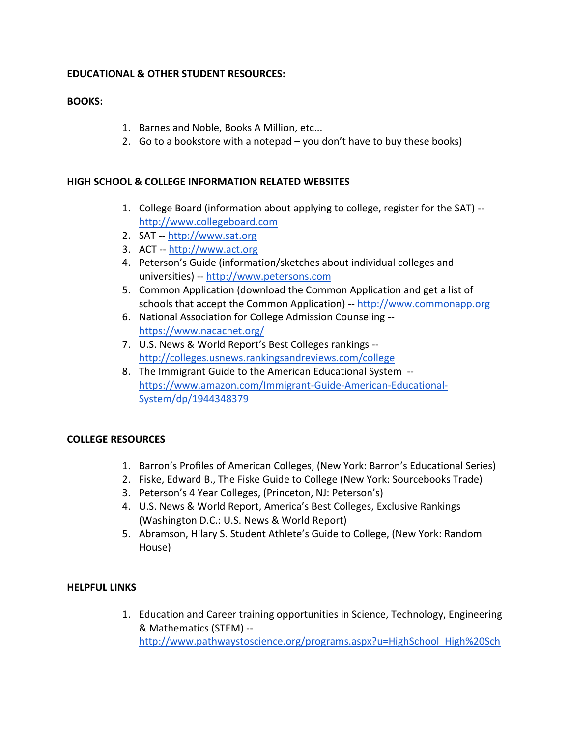# **EDUCATIONAL & OTHER STUDENT RESOURCES:**

## **BOOKS:**

- 1. Barnes and Noble, Books A Million, etc...
- 2. Go to a bookstore with a notepad you don't have to buy these books)

## **HIGH SCHOOL & COLLEGE INFORMATION RELATED WEBSITES**

- 1. College Board (information about applying to college, register for the SAT) [http://www.collegeboard.com](http://www.collegeboard.com/)
- 2. SAT -- [http://www.sat.org](http://www.sat.org/)
- 3. ACT -- [http://www.act.org](http://www.act.org/)
- 4. Peterson's Guide (information/sketches about individual colleges and universities) -- [http://www.petersons.com](http://www.petersons.com/)
- 5. Common Application (download the Common Application and get a list of schools that accept the Common Application) -- [http://www.commonapp.org](http://www.commonapp.org/)
- 6. National Association for College Admission Counseling <https://www.nacacnet.org/>
- 7. U.S. News & World Report's Best Colleges rankings <http://colleges.usnews.rankingsandreviews.com/college>
- 8. The Immigrant Guide to the American Educational System [https://www.amazon.com/Immigrant-Guide-American-Educational-](https://www.amazon.com/Immigrant-Guide-American-Educational-System/dp/1944348379)[System/dp/1944348379](https://www.amazon.com/Immigrant-Guide-American-Educational-System/dp/1944348379)

### **COLLEGE RESOURCES**

- 1. Barron's Profiles of American Colleges, (New York: Barron's Educational Series)
- 2. Fiske, Edward B., The Fiske Guide to College (New York: Sourcebooks Trade)
- 3. Peterson's 4 Year Colleges, (Princeton, NJ: Peterson's)
- 4. U.S. News & World Report, America's Best Colleges, Exclusive Rankings (Washington D.C.: U.S. News & World Report)
- 5. Abramson, Hilary S. Student Athlete's Guide to College, (New York: Random House)

### **HELPFUL LINKS**

1. Education and Career training opportunities in Science, Technology, Engineering & Mathematics (STEM) - [http://www.pathwaystoscience.org/programs.aspx?u=HighSchool\\_High%20Sch](http://www.pathwaystoscience.org/programs.aspx?u=HighSchool_High%20School%20Students&sa=either&p=either&c=either&submit=y&adv=adv&alpha=A&pos=0)